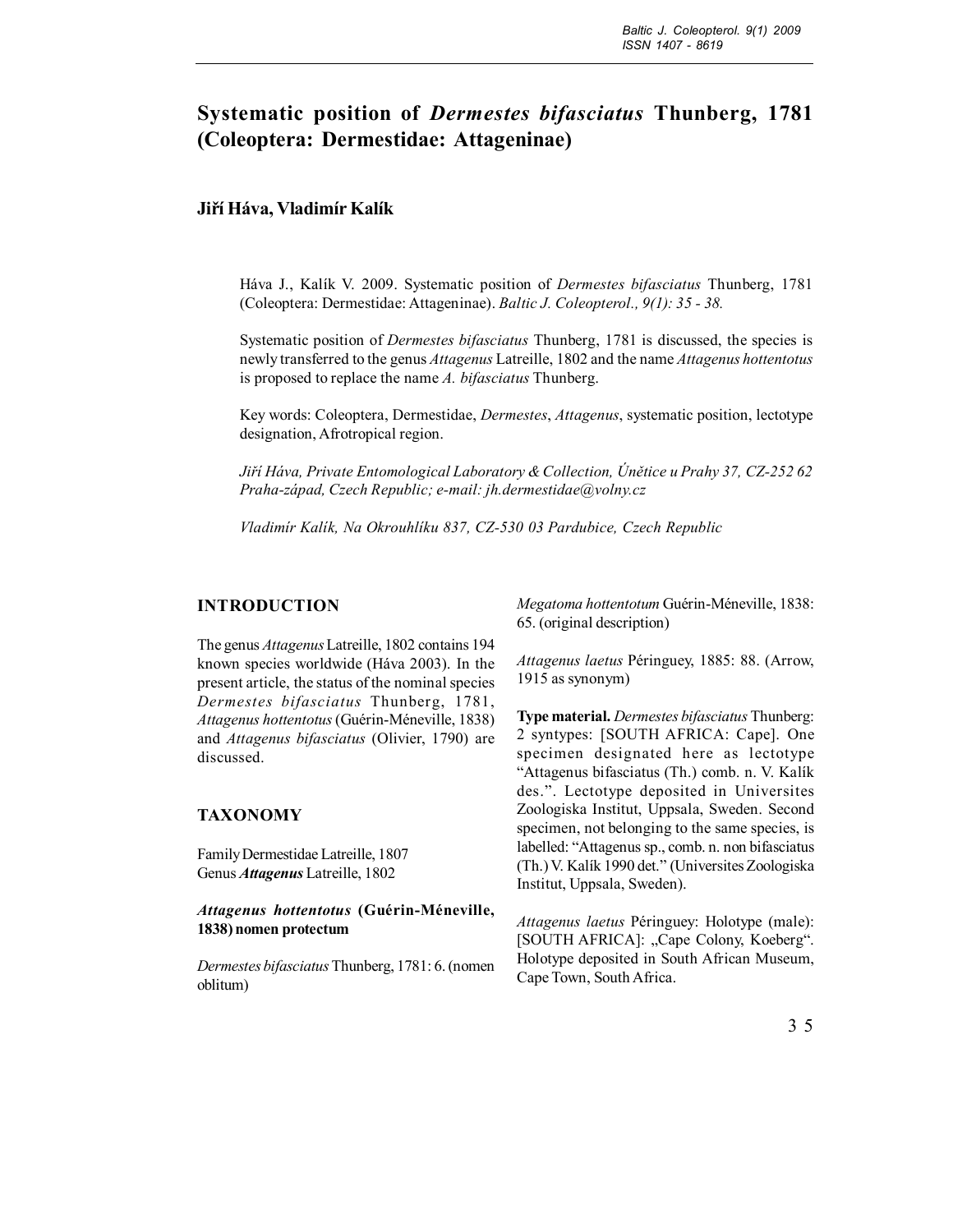# **Systematic position of** *Dermestes bifasciatus* **Thunberg, 1781 (Coleoptera: Dermestidae: Attageninae)**

## **Jiří Háva, Vladimír Kalík**

Háva J., Kalík V. 2009. Systematic position of *Dermestes bifasciatus* Thunberg, 1781 (Coleoptera: Dermestidae: Attageninae). *Baltic J. Coleopterol., 9(1): 35 - 38.*

Systematic position of *Dermestes bifasciatus* Thunberg, 1781 is discussed, the species is newly transferred to the genus *Attagenus* Latreille, 1802 and the name *Attagenus hottentotus* is proposed to replace the name *A. bifasciatus* Thunberg.

Key words: Coleoptera, Dermestidae, *Dermestes*, *Attagenus*, systematic position, lectotype designation, Afrotropical region.

*Jiří Háva, Private Entomological Laboratory & Collection, Únětice u Prahy 37, CZ-252 62 Praha-západ, Czech Republic; e-mail: jh.dermestidae@volny.cz*

*Vladimír Kalík, Na Okrouhlíku 837, CZ-530 03 Pardubice, Czech Republic*

#### **INTRODUCTION**

The genus *Attagenus* Latreille, 1802 contains 194 known species worldwide (Háva 2003). In the present article, the status of the nominal species *Dermestes bifasciatus* Thunberg, 1781, *Attagenus hottentotus* (Guérin-Méneville, 1838) and *Attagenus bifasciatus* (Olivier, 1790) are discussed.

#### **TAXONOMY**

Family Dermestidae Latreille, 1807 Genus *Attagenus* Latreille, 1802

*Attagenus hottentotus* **(Guérin-Méneville, 1838) nomen protectum**

*Dermestes bifasciatus* Thunberg, 1781: 6. (nomen oblitum)

*Megatoma hottentotum* Guérin-Méneville, 1838: 65. (original description)

*Attagenus laetus* Péringuey, 1885: 88. (Arrow, 1915 as synonym)

**Type material.** *Dermestes bifasciatus* Thunberg: 2 syntypes: [SOUTH AFRICA: Cape]. One specimen designated here as lectotype "Attagenus bifasciatus (Th.) comb. n. V. Kalík des.". Lectotype deposited in Universites Zoologiska Institut, Uppsala, Sweden. Second specimen, not belonging to the same species, is labelled: "Attagenus sp., comb. n. non bifasciatus (Th.) V. Kalík 1990 det." (Universites Zoologiska Institut, Uppsala, Sweden).

*Attagenus laetus* Péringuey: Holotype (male): [SOUTH AFRICA]: "Cape Colony, Koeberg". Holotype deposited in South African Museum, Cape Town, South Africa.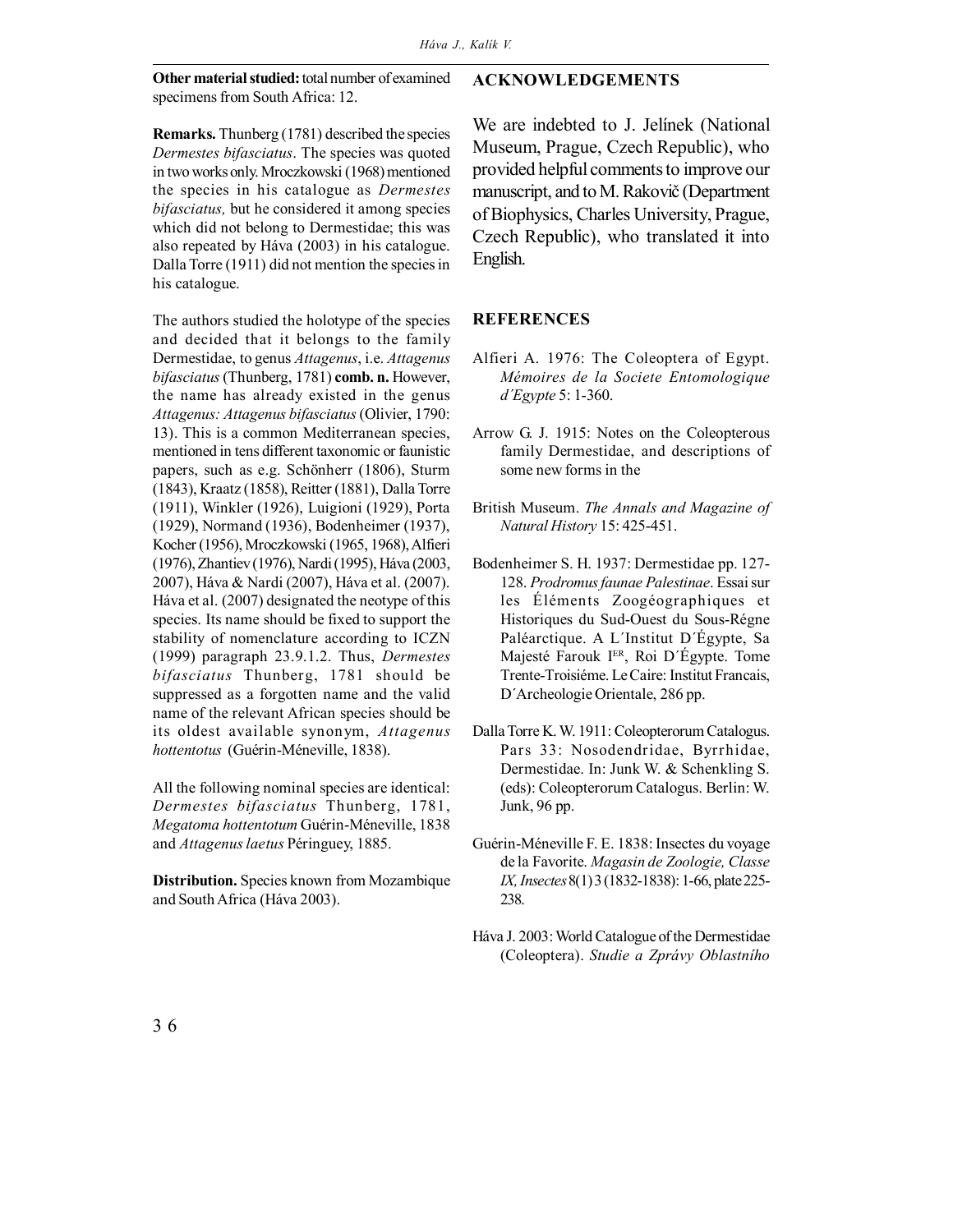**Other material studied:** total number of examined specimens from South Africa: 12.

### **ACKNOWLEDGEMENTS**

**Remarks.** Thunberg (1781) described the species *Dermestes bifasciatus*. The species was quoted in two works only. Mroczkowski (1968) mentioned the species in his catalogue as *Dermestes bifasciatus,* but he considered it among species which did not belong to Dermestidae; this was also repeated by Háva (2003) in his catalogue. Dalla Torre (1911) did not mention the species in his catalogue.

The authors studied the holotype of the species and decided that it belongs to the family Dermestidae, to genus *Attagenus*, i.e. *Attagenus bifasciatus* (Thunberg, 1781) **comb. n.** However, the name has already existed in the genus *Attagenus: Attagenus bifasciatus* (Olivier, 1790: 13). This is a common Mediterranean species, mentioned in tens different taxonomic or faunistic papers, such as e.g. Schönherr (1806), Sturm (1843), Kraatz (1858), Reitter (1881), Dalla Torre (1911), Winkler (1926), Luigioni (1929), Porta (1929), Normand (1936), Bodenheimer (1937), Kocher (1956), Mroczkowski (1965, 1968), Alfieri (1976), Zhantiev (1976), Nardi (1995), Háva (2003, 2007), Háva & Nardi (2007), Háva et al. (2007). Háva et al. (2007) designated the neotype of this species. Its name should be fixed to support the stability of nomenclature according to ICZN (1999) paragraph 23.9.1.2. Thus, *Dermestes bifasciatus* Thunberg, 1781 should be suppressed as a forgotten name and the valid name of the relevant African species should be its oldest available synonym, *Attagenus hottentotus* (Guérin-Méneville, 1838).

All the following nominal species are identical: *Dermestes bifasciatus* Thunberg, 1781, *Megatoma hottentotum* Guérin-Méneville, 1838 and *Attagenus laetus* Péringuey, 1885.

**Distribution.** Species known from Mozambique and South Africa (Háva 2003).

We are indebted to J. Jelínek (National Museum, Prague, Czech Republic), who provided helpful comments to improve our manuscript, and to M. Rakovič (Department of Biophysics, Charles University, Prague, Czech Republic), who translated it into English.

## **REFERENCES**

- Alfieri A. 1976: The Coleoptera of Egypt. *Mémoires de la Societe Entomologique d´Egypte* 5: 1-360.
- Arrow G. J. 1915: Notes on the Coleopterous family Dermestidae, and descriptions of some new forms in the
- British Museum. *The Annals and Magazine of Natural History* 15: 425-451.
- Bodenheimer S. H. 1937: Dermestidae pp. 127- 128. *Prodromus faunae Palestinae*. Essai sur les Éléments Zoogéographiques et Historiques du Sud-Ouest du Sous-Régne Paléarctique. A L´Institut D´Égypte, Sa Majesté Farouk IER, Roi D´Égypte. Tome Trente-Troisiéme. Le Caire: Institut Francais, D´Archeologie Orientale, 286 pp.
- Dalla Torre K. W. 1911: Coleopterorum Catalogus. Pars 33: Nosodendridae, Byrrhidae, Dermestidae. In: Junk W. & Schenkling S. (eds): Coleopterorum Catalogus. Berlin: W. Junk, 96 pp.
- Guérin-Méneville F. E. 1838: Insectes du voyage de la Favorite. *Magasin de Zoologie, Classe IX, Insectes* 8(1) 3 (1832-1838): 1-66, plate 225- 238.
- Háva J. 2003: World Catalogue of the Dermestidae (Coleoptera). *Studie a Zprávy Oblastního*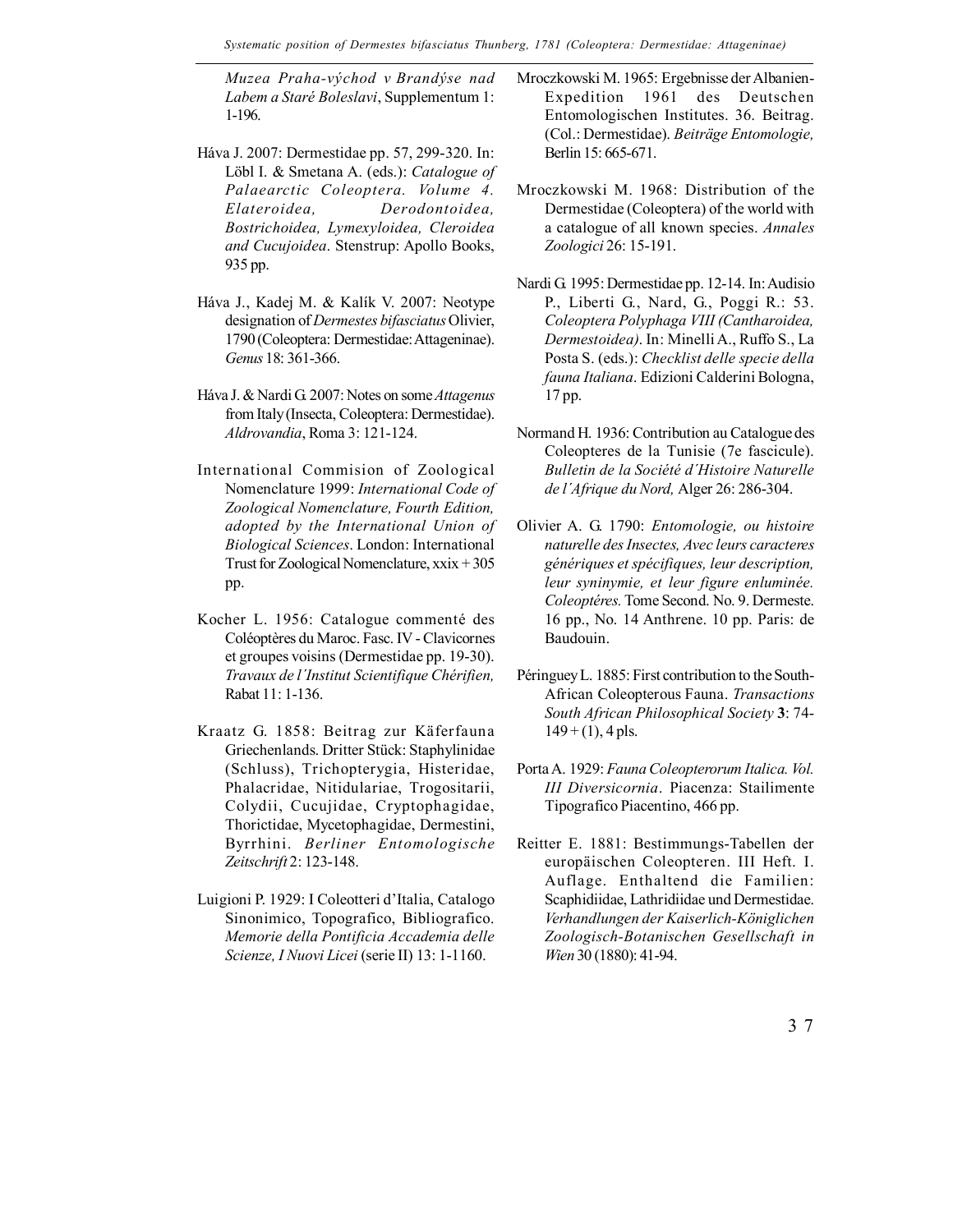*Muzea Praha-východ v Brandýse nad Labem a Staré Boleslavi*, Supplementum 1: 1-196.

- Háva J. 2007: Dermestidae pp. 57, 299-320. In: Löbl I. & Smetana A. (eds.): *Catalogue of Palaearctic Coleoptera. Volume 4. Elateroidea, Derodontoidea, Bostrichoidea, Lymexyloidea, Cleroidea and Cucujoidea*. Stenstrup: Apollo Books, 935 pp.
- Háva J., Kadej M. & Kalík V. 2007: Neotype designation of *Dermestes bifasciatus* Olivier, 1790 (Coleoptera: Dermestidae: Attageninae). *Genus* 18: 361-366.
- Háva J. & Nardi G. 2007: Notes on some *Attagenus* from Italy (Insecta, Coleoptera: Dermestidae). *Aldrovandia*, Roma 3: 121-124.
- International Commision of Zoological Nomenclature 1999: *International Code of Zoological Nomenclature, Fourth Edition, adopted by the International Union of Biological Sciences*. London: International Trust for Zoological Nomenclature, xxix + 305 pp.
- Kocher L. 1956: Catalogue commenté des Coléoptères du Maroc. Fasc. IV - Clavicornes et groupes voisins (Dermestidae pp. 19-30). *Travaux de l´Institut Scientifique Chérifien,* Rabat 11: 1-136.
- Kraatz G. 1858: Beitrag zur Käferfauna Griechenlands. Dritter Stück: Staphylinidae (Schluss), Trichopterygia, Histeridae, Phalacridae, Nitidulariae, Trogositarii, Colydii, Cucujidae, Cryptophagidae, Thorictidae, Mycetophagidae, Dermestini, Byrrhini. *Berliner Entomologische Zeitschrift* 2: 123-148.
- Luigioni P. 1929: I Coleotteri d'Italia, Catalogo Sinonimico, Topografico, Bibliografico. *Memorie della Pontificia Accademia delle Scienze, I Nuovi Licei* (serie II) 13: 1-1160.
- Mroczkowski M. 1965: Ergebnisse der Albanien-Expedition 1961 des Deutschen Entomologischen Institutes. 36. Beitrag. (Col.: Dermestidae). *Beiträge Entomologie,* Berlin 15: 665-671.
- Mroczkowski M. 1968: Distribution of the Dermestidae (Coleoptera) of the world with a catalogue of all known species. *Annales Zoologici* 26: 15-191.
- Nardi G. 1995: Dermestidae pp. 12-14. In: Audisio P., Liberti G., Nard, G., Poggi R.: 53. *Coleoptera Polyphaga VIII (Cantharoidea, Dermestoidea)*. In: Minelli A., Ruffo S., La Posta S. (eds.): *Checklist delle specie della fauna Italiana*. Edizioni Calderini Bologna, 17 pp.
- Normand H. 1936: Contribution au Catalogue des Coleopteres de la Tunisie (7e fascicule). *Bulletin de la Société d´Histoire Naturelle de l´Afrique du Nord,* Alger 26: 286-304.
- Olivier A. G. 1790: *Entomologie, ou histoire naturelle des Insectes, Avec leurs caracteres génériques et spécifiques, leur description, leur syninymie, et leur figure enluminée. Coleoptéres.* Tome Second. No. 9. Dermeste. 16 pp., No. 14 Anthrene. 10 pp. Paris: de Baudouin.
- Péringuey L. 1885: First contribution to the South-African Coleopterous Fauna. *Transactions South African Philosophical Society* **3**: 74-  $149 + (1)$ , 4 pls.
- Porta A. 1929: *Fauna Coleopterorum Italica. Vol. III Diversicornia*. Piacenza: Stailimente Tipografico Piacentino, 466 pp.
- Reitter E. 1881: Bestimmungs-Tabellen der europäischen Coleopteren. III Heft. I. Auflage. Enthaltend die Familien: Scaphidiidae, Lathridiidae und Dermestidae. *Verhandlungen der Kaiserlich-Königlichen Zoologisch-Botanischen Gesellschaft in Wien* 30 (1880): 41-94.